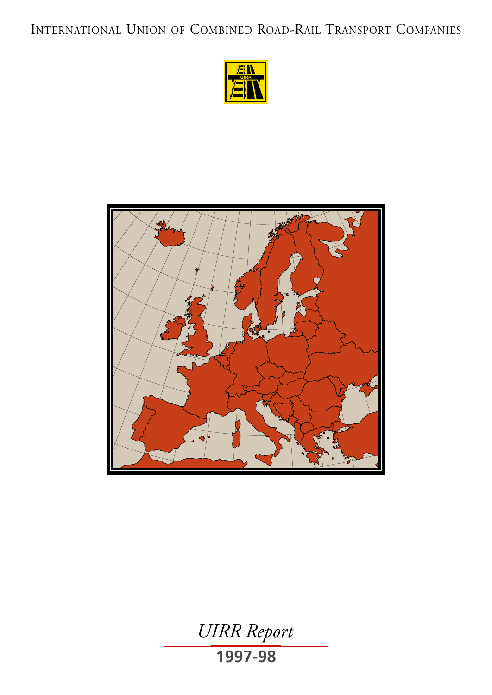INTERNATIONAL UNION OF COMBINED ROAD-RAIL TRANSPORT COMPANIES





**1997-98** *UIRR Report*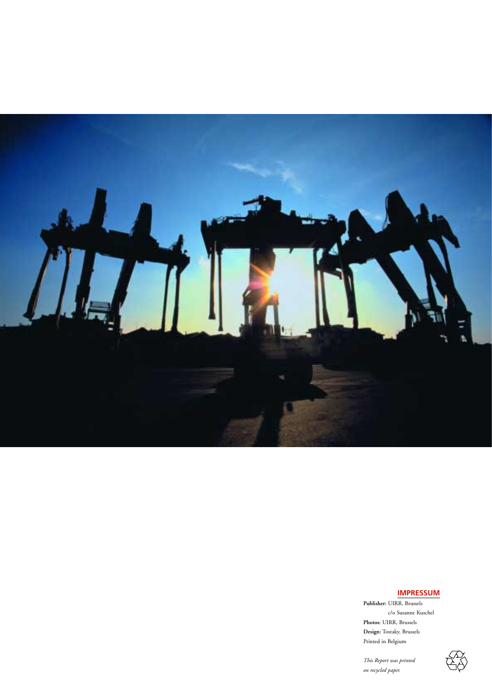

#### **IMPRESSUM**

**Publisher:** UIRR, Brussels c/o Susanne Kuschel **Photos:** UIRR, Brussels **Design:** Tostaky, Brussels Printed in Belgium

*This Report was printed on recycled paper.*

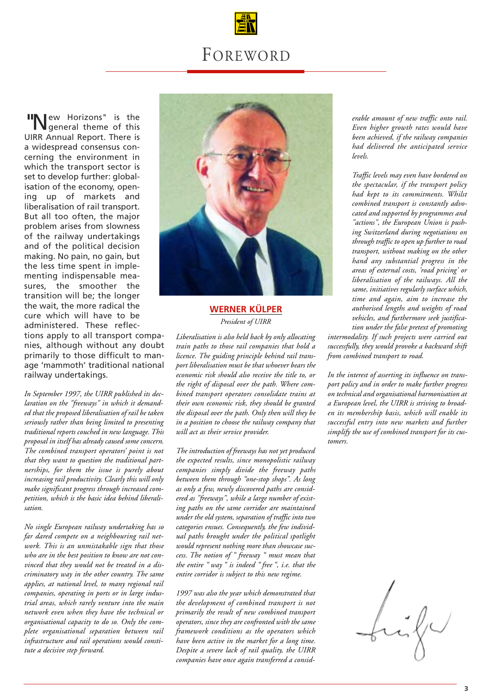## FOREWORD

**IIN** ew Horizons" is the<br>
general theme of this UIRR Annual Report. There is a widespread consensus concerning the environment in which the transport sector is set to develop further: globalisation of the economy, opening up of markets and liberalisation of rail transport. But all too often, the major problem arises from slowness of the railway undertakings and of the political decision making. No pain, no gain, but the less time spent in implementing indispensable measures, the smoother the transition will be; the longer the wait, the more radical the cure which will have to be administered. These reflections apply to all transport compa-

nies, although without any doubt primarily to those difficult to manage 'mammoth' traditional national railway undertakings.

*In September 1997, the UIRR published its declaration on the "freeways" in which it demanded that the proposed liberalisation of rail be taken seriously rather than being limited to presenting traditional reports couched in new language. This proposal in itself has already caused some concern. The combined transport operators' point is not that they want to question the traditional partnerships, for them the issue is purely about increasing rail productivity. Clearly this will only make significant progress through increased competition, which is the basic idea behind liberalisation.*

*No single European railway undertaking has so far dared compete on a neighbouring rail network. This is an unmistakable sign that those who are in the best position to know are not convinced that they would not be treated in a discriminatory way in the other country. The same applies, at national level, to many regional rail companies, operating in ports or in large industrial areas, which rarely venture into the main network even when they have the technical or organisational capacity to do so. Only the complete organisational separation between rail infrastructure and rail operations would constitute a decisive step forward.*



## **WERNER KÜLPER** *President of UIRR*

*Liberalisation is also held back by only allocating train paths to those rail companies that hold a licence. The guiding principle behind rail transport liberalisation must be that whoever bears the economic risk should also receive the title to, or the right of disposal over the path. Where combined transport operators consolidate trains at their own economic risk, they should be granted the disposal over the path. Only then will they be in a position to choose the railway company that will act as their service provider.*

*The introduction of freeways has not yet produced the expected results, since monopolistic railway companies simply divide the freeway paths between them through "one-stop shops". As long as only a few, newly discovered paths are considered as "freeways", while a large number of existing paths on the same corridor are maintained under the old system, separation of traffic into two categories ensues. Consequently, the few individual paths brought under the political spotlight would represent nothing more than showcase success. The notion of " freeway " must mean that the entire " way " is indeed " free ", i.e. that the entire corridor is subject to this new regime.* 

*1997 was also the year which demonstrated that the development of combined transport is not primarily the result of new combined transport operators, since they are confronted with the same framework conditions as the operators which have been active in the market for a long time. Despite a severe lack of rail quality, the UIRR companies have once again transferred a consid-* *erable amount of new traffic onto rail. Even higher growth rates would have been achieved, if the railway companies had delivered the anticipated service levels.*

*Traffic levels may even have bordered on the spectacular, if the transport policy had kept to its commitments. Whilst combined transport is constantly advocated and supported by programmes and "actions", the European Union is pushing Switzerland during negotiations on through traffic to open up further to road transport, without making on the other hand any substantial progress in the areas of external costs, 'road pricing' or liberalisation of the railways. All the same, initiatives regularly surface which, time and again, aim to increase the authorised lengths and weights of road vehicles, and furthermore seek justification under the false pretext of promoting*

*intermodality. If such projects were carried out successfully, they would provoke a backward shift from combined transport to road.*

*In the interest of asserting its influence on transport policy and in order to make further progress on technical and organisational harmonisation at a European level, the UIRR is striving to broaden its membership basis, which will enable its successful entry into new markets and further simplify the use of combined transport for its customers.*

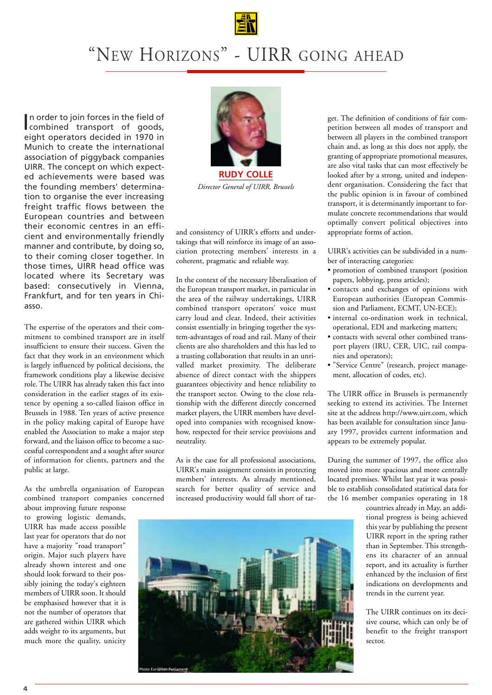

## "NEW HORIZONS" - UIRR GOING AHEAD

In order to join forces in the field of<br>combined transport of goods, combined transport of goods, eight operators decided in 1970 in Munich to create the international association of piggyback companies UIRR. The concept on which expected achievements were based was the founding members' determination to organise the ever increasing freight traffic flows between the European countries and between their economic centres in an efficient and environmentally friendly manner and contribute, by doing so, to their coming closer together. In those times, UIRR head office was located where its Secretary was based: consecutively in Vienna, Frankfurt, and for ten years in Chiasso.

The expertise of the operators and their commitment to combined transport are in itself insufficient to ensure their success. Given the fact that they work in an environment which is largely influenced by political decisions, the framework conditions play a likewise decisive role. The UIRR has already taken this fact into consideration in the earlier stages of its existence by opening a so-called liaison office in Brussels in 1988. Ten years of active presence in the policy making capital of Europe have enabled the Association to make a major step forward, and the liaison office to become a successful correspondent and a sought after source of information for clients, partners and the public at large.

As the umbrella organisation of European combined transport companies concerned

about improving future response to growing logistic demands, UIRR has made access possible last year for operators that do not have a majority "road transport" origin. Major such players have already shown interest and one should look forward to their possibly joining the today's eighteen members of UIRR soon. It should be emphasised however that it is not the number of operators that are gathered within UIRR which adds weight to its arguments, but much more the quality, unicity



*Director General of UIRR, Brussels*

and consistency of UIRR's efforts and undertakings that will reinforce its image of an association protecting members' interests in a coherent, pragmatic and reliable way.

In the context of the necessary liberalisation of the European transport market, in particular in the area of the railway undertakings, UIRR combined transport operators' voice must carry loud and clear. Indeed, their activities consist essentially in bringing together the system-advantages of road and rail. Many of their clients are also shareholders and this has led to a trusting collaboration that results in an unrivalled market proximity. The deliberate absence of direct contact with the shippers guarantees objectivity and hence reliability to the transport sector. Owing to the close relationship with the different directly concerned market players, the UIRR members have developed into companies with recognised knowhow, respected for their service provisions and neutrality.

As is the case for all professional associations, UIRR's main assignment consists in protecting members' interests. As already mentioned, search for better quality of service and increased productivity would fall short of target. The definition of conditions of fair competition between all modes of transport and between all players in the combined transport chain and, as long as this does not apply, the granting of appropriate promotional measures, are also vital tasks that can most effectively be looked after by a strong, united and independent organisation. Considering the fact that the public opinion is in favour of combined transport, it is determinantly important to formulate concrete recommendations that would optimally convert political objectives into appropriate forms of action.

UIRR's activities can be subdivided in a number of interacting categories:

- promotion of combined transport (position papers, lobbying, press articles);
- contacts and exchanges of opinions with European authorities (European Commission and Parliament, ECMT, UN-ECE);
- internal co-ordination work in technical, operational, EDI and marketing matters;
- contacts with several other combined transport players (IRU, CER, UIC, rail companies and operators);
- "Service Centre" (research, project management, allocation of codes, etc).

The UIRR office in Brussels is permanently seeking to extend its activities. The Internet site at the address http://www.uirr.com, which has been available for consultation since January 1997, provides current information and appears to be extremely popular.

During the summer of 1997, the office also moved into more spacious and more centrally located premises. Whilst last year it was possible to establish consolidated statistical data for the 16 member companies operating in 18

> countries already in May, an additional progress is being achieved this year by publishing the present UIRR report in the spring rather than in September. This strengthens its character of an annual report, and its actuality is further enhanced by the inclusion of first indications on developments and trends in the current year.

> The UIRR continues on its decisive course, which can only be of benefit to the freight transport sector.

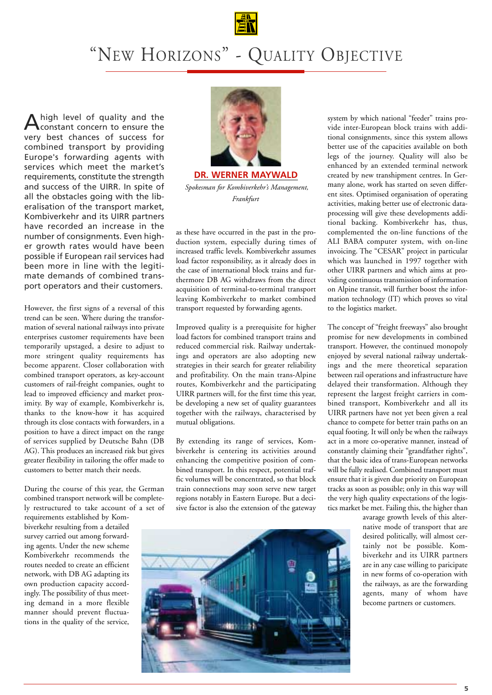# "NEW HORIZONS" - QUALITY OBJECTIVE

high level of quality and the constant concern to ensure the very best chances of success for combined transport by providing Europe's forwarding agents with services which meet the market's requirements, constitute the strength and success of the UIRR. In spite of all the obstacles going with the liberalisation of the transport market, Kombiverkehr and its UIRR partners have recorded an increase in the number of consignments. Even higher growth rates would have been possible if European rail services had been more in line with the legitimate demands of combined transport operators and their customers.

However, the first signs of a reversal of this trend can be seen. Where during the transformation of several national railways into private enterprises customer requirements have been temporarily upstaged, a desire to adjust to more stringent quality requirements has become apparent. Closer collaboration with combined transport operators, as key-account customers of rail-freight companies, ought to lead to improved efficiency and market proximity. By way of example, Kombiverkehr is, thanks to the know-how it has acquired through its close contacts with forwarders, in a position to have a direct impact on the range of services supplied by Deutsche Bahn (DB AG). This produces an increased risk but gives greater flexibility in tailoring the offer made to customers to better match their needs.

During the course of this year, the German combined transport network will be completely restructured to take account of a set of

requirements established by Kombiverkehr resulting from a detailed survey carried out among forwarding agents. Under the new scheme Kombiverkehr recommends the routes needed to create an efficient network, with DB AG adapting its own production capacity accordingly. The possibility of thus meeting demand in a more flexible manner should prevent fluctuations in the quality of the service,



**DR. WERNER MAYWALD** *Spokesman for Kombiverkehr's Management, Frankfurt*

as these have occurred in the past in the production system, especially during times of increased traffic levels. Kombiverkehr assumes load factor responsibility, as it already does in the case of international block trains and furthermore DB AG withdraws from the direct acquisition of terminal-to-terminal transport leaving Kombiverkehr to market combined transport requested by forwarding agents.

Improved quality is a prerequisite for higher load factors for combined transport trains and reduced commercial risk. Railway undertakings and operators are also adopting new strategies in their search for greater reliability and profitability. On the main trans-Alpine routes, Kombiverkehr and the participating UIRR partners will, for the first time this year, be developing a new set of quality guarantees together with the railways, characterised by mutual obligations.

By extending its range of services, Kombiverkehr is centering its activities around enhancing the competitive position of combined transport. In this respect, potential traffic volumes will be concentrated, so that block train connections may soon serve new target regions notably in Eastern Europe. But a decisive factor is also the extension of the gateway system by which national "feeder" trains provide inter-European block trains with additional consignments, since this system allows better use of the capacities available on both legs of the journey. Quality will also be enhanced by an extended terminal network created by new transhipment centres. In Germany alone, work has started on seven different sites. Optimised organisation of operating activities, making better use of electronic dataprocessing will give these developments additional backing. Kombiverkehr has, thus, complemented the on-line functions of the ALI BABA computer system, with on-line invoicing. The "CESAR" project in particular which was launched in 1997 together with other UIRR partners and which aims at providing continuous transmission of information on Alpine transit, will further boost the information technology (IT) which proves so vital to the logistics market.

The concept of "freight freeways" also brought promise for new developments in combined transport. However, the continued monopoly enjoyed by several national railway undertakings and the mere theoretical separation between rail operations and infrastructure have delayed their transformation. Although they represent the largest freight carriers in combined transport, Kombiverkehr and all its UIRR partners have not yet been given a real chance to compete for better train paths on an equal footing. It will only be when the railways act in a more co-operative manner, instead of constantly claiming their "grandfather rights", that the basic idea of trans-European networks will be fully realised. Combined transport must ensure that it is given due priority on European tracks as soon as possible; only in this way will the very high quality expectations of the logistics market be met. Failing this, the higher than

> avarage growth levels of this alternative mode of transport that are desired politically, will almost certainly not be possible. Kombiverkehr and its UIRR partners are in any case willing to paricipate in new forms of co-operation with the railways, as are the forwarding agents, many of whom have become partners or customers.

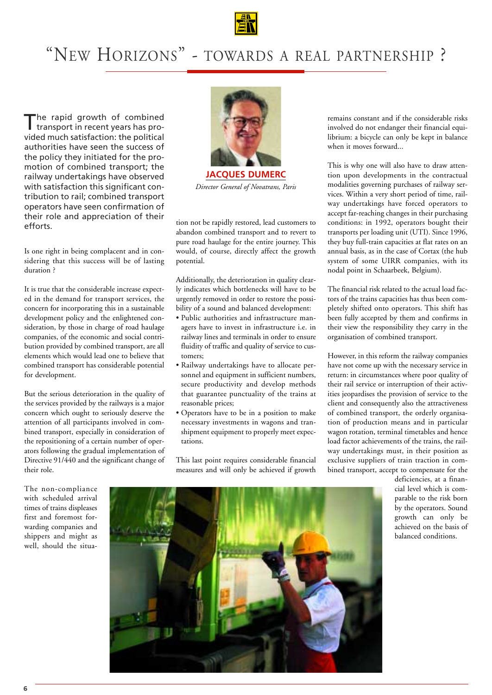

## "NEW HORIZONS" - TOWARDS A REAL PARTNERSHIP ?

The rapid growth of combined transport in recent years has provided much satisfaction: the political authorities have seen the success of the policy they initiated for the promotion of combined transport; the railway undertakings have observed with satisfaction this significant contribution to rail; combined transport operators have seen confirmation of their role and appreciation of their efforts.

Is one right in being complacent and in considering that this success will be of lasting duration ?

It is true that the considerable increase expected in the demand for transport services, the concern for incorporating this in a sustainable development policy and the enlightened consideration, by those in charge of road haulage companies, of the economic and social contribution provided by combined transport, are all elements which would lead one to believe that combined transport has considerable potential for development.

But the serious deterioration in the quality of the services provided by the railways is a major concern which ought to seriously deserve the attention of all participants involved in combined transport, especially in consideration of the repositioning of a certain number of operators following the gradual implementation of Directive 91/440 and the significant change of their role.

The non-compliance with scheduled arrival times of trains displeases first and foremost forwarding companies and shippers and might as well, should the situa-



*Director General of Novatrans, Paris*

tion not be rapidly restored, lead customers to abandon combined transport and to revert to pure road haulage for the entire journey. This would, of course, directly affect the growth potential.

Additionally, the deterioration in quality clearly indicates which bottlenecks will have to be urgently removed in order to restore the possibility of a sound and balanced development:

- Public authorities and infrastructure managers have to invest in infrastructure i.e. in railway lines and terminals in order to ensure fluidity of traffic and quality of service to customers;
- Railway undertakings have to allocate personnel and equipment in sufficient numbers, secure productivity and develop methods that guarantee punctuality of the trains at reasonable prices;
- Operators have to be in a position to make necessary investments in wagons and transhipment equipment to properly meet expectations.

This last point requires considerable financial measures and will only be achieved if growth

remains constant and if the considerable risks involved do not endanger their financial equilibrium: a bicycle can only be kept in balance when it moves forward...

This is why one will also have to draw attention upon developments in the contractual modalities governing purchases of railway services. Within a very short period of time, railway undertakings have forced operators to accept far-reaching changes in their purchasing conditions: in 1992, operators bought their transports per loading unit (UTI). Since 1996, they buy full-train capacities at flat rates on an annual basis, as in the case of Cortax (the hub system of some UIRR companies, with its nodal point in Schaarbeek, Belgium).

The financial risk related to the actual load factors of the trains capacities has thus been completely shifted onto operators. This shift has been fully accepted by them and confirms in their view the responsibility they carry in the organisation of combined transport.

However, in this reform the railway companies have not come up with the necessary service in return: in circumstances where poor quality of their rail service or interruption of their activities jeopardises the provision of service to the client and consequently also the attractiveness of combined transport, the orderly organisation of production means and in particular wagon rotation, terminal timetables and hence load factor achievements of the trains, the railway undertakings must, in their position as exclusive suppliers of train traction in combined transport, accept to compensate for the

> deficiencies, at a financial level which is comparable to the risk born by the operators. Sound growth can only be achieved on the basis of balanced conditions.

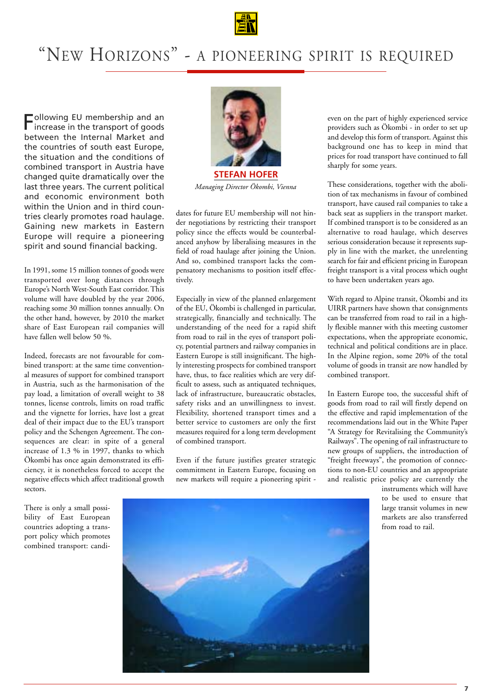

# "NEW HORIZONS" - A PIONEERING SPIRIT IS REQUIRED

Following EU membership and an increase in the transport of goods between the Internal Market and the countries of south east Europe, the situation and the conditions of combined transport in Austria have changed quite dramatically over the last three years. The current political and economic environment both within the Union and in third countries clearly promotes road haulage. Gaining new markets in Eastern Europe will require a pioneering spirit and sound financial backing.

In 1991, some 15 million tonnes of goods were transported over long distances through Europe's North West-South East corridor. This volume will have doubled by the year 2006, reaching some 30 million tonnes annually. On the other hand, however, by 2010 the market share of East European rail companies will have fallen well below 50 %.

Indeed, forecasts are not favourable for combined transport: at the same time conventional measures of support for combined transport in Austria, such as the harmonisation of the pay load, a limitation of overall weight to 38 tonnes, license controls, limits on road traffic and the vignette for lorries, have lost a great deal of their impact due to the EU's transport policy and the Schengen Agreement. The consequences are clear: in spite of a general increase of 1.3 % in 1997, thanks to which Ökombi has once again demonstrated its efficiency, it is nonetheless forced to accept the negative effects which affect traditional growth sectors.

There is only a small possibility of East European countries adopting a transport policy which promotes combined transport: candi-



*Managing Director Ökombi, Vienna*

dates for future EU membership will not hinder negotiations by restricting their transport policy since the effects would be counterbalanced anyhow by liberalising measures in the field of road haulage after joining the Union. And so, combined transport lacks the compensatory mechanisms to position itself effectively.

Especially in view of the planned enlargement of the EU, Ökombi is challenged in particular, strategically, financially and technically. The understanding of the need for a rapid shift from road to rail in the eyes of transport policy, potential partners and railway companies in Eastern Europe is still insignificant. The highly interesting prospects for combined transport have, thus, to face realities which are very difficult to assess, such as antiquated techniques, lack of infrastructure, bureaucratic obstacles, safety risks and an unwillingness to invest. Flexibility, shortened transport times and a better service to customers are only the first measures required for a long term development of combined transport.

Even if the future justifies greater strategic commitment in Eastern Europe, focusing on new markets will require a pioneering spirit -

even on the part of highly experienced service providers such as Ökombi - in order to set up and develop this form of transport. Against this background one has to keep in mind that prices for road transport have continued to fall sharply for some years.

These considerations, together with the abolition of tax mechanisms in favour of combined transport, have caused rail companies to take a back seat as suppliers in the transport market. If combined transport is to be considered as an alternative to road haulage, which deserves serious consideration because it represents supply in line with the market, the unrelenting search for fair and efficient pricing in European freight transport is a vital process which ought to have been undertaken years ago.

With regard to Alpine transit, Ökombi and its UIRR partners have shown that consignments can be transferred from road to rail in a highly flexible manner with this meeting customer expectations, when the appropriate economic, technical and political conditions are in place. In the Alpine region, some 20% of the total volume of goods in transit are now handled by combined transport.

In Eastern Europe too, the successful shift of goods from road to rail will firstly depend on the effective and rapid implementation of the recommendations laid out in the White Paper "A Strategy for Revitalising the Community's Railways". The opening of rail infrastructure to new groups of suppliers, the introduction of "freight freeways", the promotion of connections to non-EU countries and an appropriate and realistic price policy are currently the

> instruments which will have to be used to ensure that large transit volumes in new markets are also transferred from road to rail.

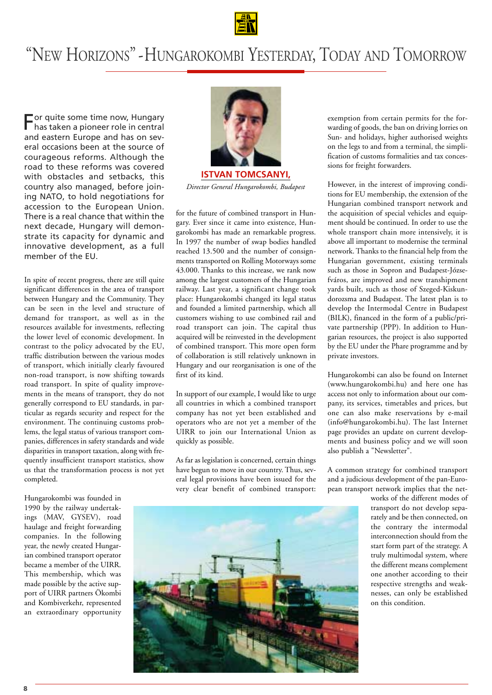

## "NEW HORIZONS" - HUNGAROKOMBI YESTERDAY, TODAY AND TOMORROW

For quite some time now, Hungary has taken a pioneer role in central and eastern Europe and has on several occasions been at the source of courageous reforms. Although the road to these reforms was covered with obstacles and setbacks, this country also managed, before joining NATO, to hold negotiations for accession to the European Union. There is a real chance that within the next decade, Hungary will demonstrate its capacity for dynamic and innovative development, as a full member of the FU.

In spite of recent progress, there are still quite significant differences in the area of transport between Hungary and the Community. They can be seen in the level and structure of demand for transport, as well as in the resources available for investments, reflecting the lower level of economic development. In contrast to the policy advocated by the EU, traffic distribution between the various modes of transport, which initially clearly favoured non-road transport, is now shifting towards road transport. In spite of quality improvements in the means of transport, they do not generally correspond to EU standards, in particular as regards security and respect for the environment. The continuing customs problems, the legal status of various transport companies, differences in safety standards and wide disparities in transport taxation, along with frequently insufficient transport statistics, show us that the transformation process is not yet completed.

Hungarokombi was founded in 1990 by the railway undertakings (MAV, GYSEV), road haulage and freight forwarding companies. In the following year, the newly created Hungarian combined transport operator became a member of the UIRR. This membership, which was made possible by the active support of UIRR partners Ökombi and Kombiverkehr, represented an extraordinary opportunity



*Director General Hungarokombi, Budapest*

for the future of combined transport in Hungary. Ever since it came into existence, Hungarokombi has made an remarkable progress. In 1997 the number of swap bodies handled reached 13.500 and the number of consignments transported on Rolling Motorways some 43.000. Thanks to this increase, we rank now among the largest customers of the Hungarian railway. Last year, a significant change took place: Hungarokombi changed its legal status and founded a limited partnership, which all customers wishing to use combined rail and road transport can join. The capital thus acquired will be reinvested in the development of combined transport. This more open form of collaboration is still relatively unknown in Hungary and our reorganisation is one of the first of its kind.

In support of our example, I would like to urge all countries in which a combined transport company has not yet been established and operators who are not yet a member of the UIRR to join our International Union as quickly as possible.

As far as legislation is concerned, certain things have begun to move in our country. Thus, several legal provisions have been issued for the very clear benefit of combined transport: exemption from certain permits for the forwarding of goods, the ban on driving lorries on Sun- and holidays, higher authorised weights on the legs to and from a terminal, the simplification of customs formalities and tax concessions for freight forwarders.

However, in the interest of improving conditions for EU membership, the extension of the Hungarian combined transport network and the acquisition of special vehicles and equipment should be continued. In order to use the whole transport chain more intensively, it is above all important to modernise the terminal network. Thanks to the financial help from the Hungarian government, existing terminals such as those in Sopron and Budapest-Józsefváros, are improved and new transhipment yards built, such as those of Szeged-Kiskundorozsma and Budapest. The latest plan is to develop the Intermodal Centre in Budapest (BILK), financed in the form of a public/private partnership (PPP). In addition to Hungarian resources, the project is also supported by the EU under the Phare programme and by private investors.

Hungarokombi can also be found on Internet (www.hungarokombi.hu) and here one has access not only to information about our company, its services, timetables and prices, but one can also make reservations by e-mail (info@hungarokombi.hu). The last Internet page provides an update on current developments and business policy and we will soon also publish a "Newsletter".

A common strategy for combined transport and a judicious development of the pan-European transport network implies that the net-

> works of the different modes of transport do not develop separately and be then connected, on the contrary the intermodal interconnection should from the start form part of the strategy. A truly multimodal system, where the different means complement one another according to their respective strengths and weaknesses, can only be established on this condition.

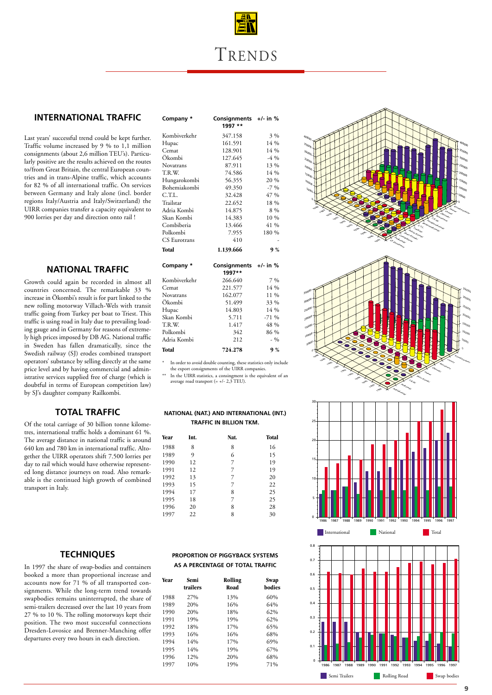# TRENDS

### **INTERNATIONAL TRAFFIC**

Last years' successful trend could be kept further. Traffic volume increased by 9 % to 1,1 million consignments (about 2,6 million TEU's). Particularly positive are the results achieved on the routes to/from Great Britain, the central European countries and in trans-Alpine traffic, which accounts for 82 % of all international traffic. On services between Germany and Italy alone (incl. border regions Italy/Austria and Italy/Switzerland) the UIRR companies transfer a capacity equivalent to 900 lorries per day and direction onto rail !

### **NATIONAL TRAFFIC**

Growth could again be recorded in almost all countries concerned. The remarkable 33 % increase in Ökombi's result is for part linked to the new rolling motorway Villach-Wels with transit traffic going from Turkey per boat to Triest. This traffic is using road in Italy due to prevailing loading gauge and in Germany for reasons of extremely high prices imposed by DB AG. National traffic in Sweden has fallen dramatically, since the Swedish railway (SJ) erodes combined transport operators' substance by selling directly at the same price level and by having commercial and administrative services supplied free of charge (which is doubtful in terms of European competition law) by SJ's daughter company Railkombi.

## **TOTAL TRAFFIC**

Of the total carriage of 30 billion tonne kilometres, international traffic holds a dominant 61 %. The average distance in national traffic is around 640 km and 780 km in international traffic. Altogether the UIRR operators shift 7.500 lorries per day to rail which would have otherwise represented long distance journeys on road. Also remarkable is the continued high growth of combined transport in Italy.

## **TECHNIQUES**

In 1997 the share of swap-bodies and containers booked a more than proportional increase and accounts now for 71 % of all transported consignments. While the long-term trend towards swapbodies remains uninterrupted, the share of semi-trailers decreased over the last 10 years from 27 % to 10 %. The rolling motorways kept their position. The two most successful connections Dresden-Lovosice and Brenner-Manching offer departures every two hours in each direction.

|              | 1997 **                         |        |
|--------------|---------------------------------|--------|
| Kombiverkehr | 347.158                         | $3\%$  |
| Hupac        | 161.591                         | 14 %   |
| Cemat        | 128.901                         | $14\%$ |
| Ökombi       | 127.645                         | $-4\%$ |
| Novatrans    | 87.911                          | 13 %   |
| T.R.W.       | 74.586                          | 14 %   |
| Hungarokombi | 56.355                          | 20 %   |
| Bohemiakombi | 49.350                          | $-7\%$ |
| C.T.L.       | 32.428                          | 47 %   |
| Trailstar    | 22.652                          | 18 %   |
| Adria Kombi  | 14.875                          | 8 %    |
| Skan Kombi   | 14.383                          | $10\%$ |
| Combiberia   | 13.466                          | 41 %   |
| Polkombi     | 7.955                           | 180 %  |
| CS Eurotrans | 410                             |        |
| Total        | 1.139.666                       | 9%     |
| Company *    | Consignments +/- in %<br>1997** |        |
| Kombiverkehr | 266.640                         | $7\%$  |
| Cemat        | 221.577                         | 14 %   |
| Novatrans    | 162.077                         | 11 %   |
| Ökombi       | 51.499                          | 33 %   |
| Hupac        | 14.803                          | 14 %   |
| Skan Kombi   | 5.711                           | $-71%$ |
| T.R.W.       | 1.417                           | 48 %   |
| Polkombi     | 342                             | 86 %   |
| Adria Kombi  | 212                             | $-9/0$ |
| Total        | 724.278                         | 9%     |

**Company \* Consignments +/- in %**

\* In order to avoid double counting, these statistics only include the export consignments of the UIRR companies.

\*\* In the UIRR statistics, a consingment is the equivalent of an average road transport (= +/- 2,3 TEU).

| Year | Int. | Nat. | Total |
|------|------|------|-------|
| 1988 | 8    | 8    | 16    |
| 1989 | 9    | 6    | 15    |
| 1990 | 12   | 7    | 19    |
| 1991 | 12   | 7    | 19    |
| 1992 | 13   | 7    | 20    |
| 1993 | 15   | 7    | 22    |
| 1994 | 17   | 8    | 25    |
| 1995 | 18   | 7    | 25    |
| 1996 | 20   | 8    | 28    |
| 1997 | 22   | 8    | 30    |

### **NATIONAL (NAT.) AND INTERNATIONAL (INT.) TRAFFIC IN BILLION TKM.**

| PROPORTION OF PIGGYBACK SYSTEMS  |
|----------------------------------|
| AS A PERCENTAGE OF TOTAL TRAFFIC |

| Year | Semi<br>trailers | Rolling<br>Road | Swap<br>bodies |
|------|------------------|-----------------|----------------|
| 1988 | 27%              | 13%             | 60%            |
| 1989 | 20%              | 16%             | 64%            |
| 1990 | 20%              | 18%             | 62%            |
| 1991 | 19%              | 19%             | 62%            |
| 1992 | 18%              | 17%             | 65%            |
| 1993 | 16%              | 16%             | 68%            |
| 1994 | 14%              | 17%             | 69%            |
| 1995 | 14%              | 19%             | 67%            |
| 1996 | 12%              | 20%             | 68%            |
| 1997 | 10%              | 19%             | 71%            |







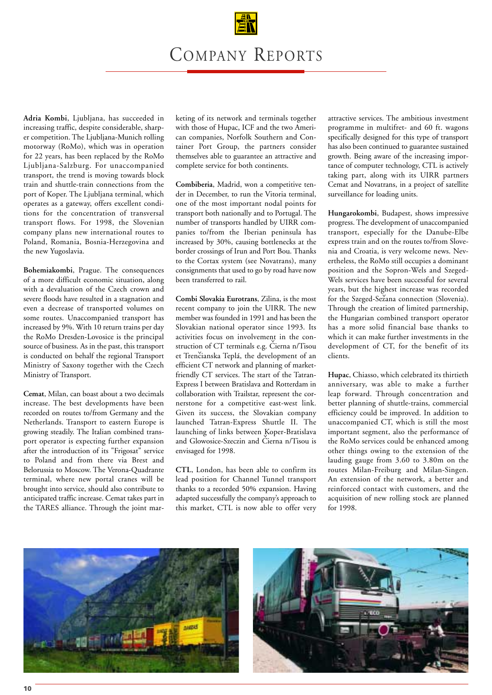## COMPANY REPORTS

**Adria Kombi**, Ljubljana, has succeeded in increasing traffic, despite considerable, sharper competition. The Ljubljana-Munich rolling motorway (RoMo), which was in operation for 22 years, has been replaced by the RoMo Ljubljana-Salzburg. For unaccompanied transport, the trend is moving towards block train and shuttle-train connections from the port of Koper. The Ljubljana terminal, which operates as a gateway, offers excellent conditions for the concentration of transversal transport flows. For 1998, the Slovenian company plans new international routes to Poland, Romania, Bosnia-Herzegovina and the new Yugoslavia.

**Bohemiakombi**, Prague. The consequences of a more difficult economic situation, along with a devaluation of the Czech crown and severe floods have resulted in a stagnation and even a decrease of transported volumes on some routes. Unaccompanied transport has increased by 9%. With 10 return trains per day the RoMo Dresden-Lovosice is the principal source of business. As in the past, this transport is conducted on behalf the regional Transport Ministry of Saxony together with the Czech Ministry of Transport.

**Cemat**, Milan, can boast about a two decimals increase. The best developments have been recorded on routes to/from Germany and the Netherlands. Transport to eastern Europe is growing steadily. The Italian combined transport operator is expecting further expansion after the introduction of its "Frigosat" service to Poland and from there via Brest and Belorussia to Moscow. The Verona-Quadrante terminal, where new portal cranes will be brought into service, should also contribute to anticipated traffic increase. Cemat takes part in the TARES alliance. Through the joint marketing of its network and terminals together with those of Hupac, ICF and the two American companies, Norfolk Southern and Container Port Group, the partners consider themselves able to guarantee an attractive and complete service for both continents.

Combiberia, Madrid, won a competitive tender in December, to run the Vitoria terminal, one of the most important nodal points for transport both nationally and to Portugal. The number of transports handled by UIRR companies to/from the Iberian peninsula has increased by 30%, causing bottlenecks at the border crossings of Irun and Port Bou. Thanks to the Cortax system (see Novatrans), many consignments that used to go by road have now been transferred to rail.

**Combi Slovakia Eurotrans**, Zilina, is the most recent company to join the UIRR. The new member was founded in 1991 and has been the Slovakian national operator since 1993. Its activities focus on involvement in the construction of CT terminals e.g. Cierna n/Tisou ^ et Trenčianska Teplá, the development of an efficient CT network and planning of marketfriendly CT services. The start of the Tatran-Express I between Bratislava and Rotterdam in collaboration with Trailstar, represent the cornerstone for a competitive east-west link. Given its success, the Slovakian company launched Tatran-Express Shuttle II. The launching of links between Koper-Bratislava and Glowosice-Szeczin and Čierna n/Tisou is envisaged for 1998.

**CTL**, London, has been able to confirm its lead position for Channel Tunnel transport thanks to a recorded 50% expansion. Having adapted successfully the company's approach to this market, CTL is now able to offer very attractive services. The ambitious investment programme in multifret- and 60 ft. wagons specifically designed for this type of transport has also been continued to guarantee sustained growth. Being aware of the increasing importance of computer technology, CTL is actively taking part, along with its UIRR partners Cemat and Novatrans, in a project of satellite surveillance for loading units.

**Hungarokombi**, Budapest, shows impressive progress. The development of unaccompanied transport, especially for the Danube-Elbe express train and on the routes to/from Slovenia and Croatia, is very welcome news. Nevertheless, the RoMo still occupies a dominant position and the Sopron-Wels and Szeged-Wels services have been successful for several years, but the highest increase was recorded for the Szeged-Sežana connection (Slovenia). Through the creation of limited partnership, the Hungarian combined transport operator has a more solid financial base thanks to which it can make further investments in the development of CT, for the benefit of its clients.

**Hupac**, Chiasso, which celebrated its thirtieth anniversary, was able to make a further leap forward. Through concentration and better planning of shuttle-trains, commercial efficiency could be improved. In addition to unaccompanied CT, which is still the most important segment, also the performance of the RoMo services could be enhanced among other things owing to the extension of the lauding gauge from 3.60 to 3.80m on the routes Milan-Freiburg and Milan-Singen. An extension of the network, a better and reinforced contact with customers, and the acquisition of new rolling stock are planned for 1998.



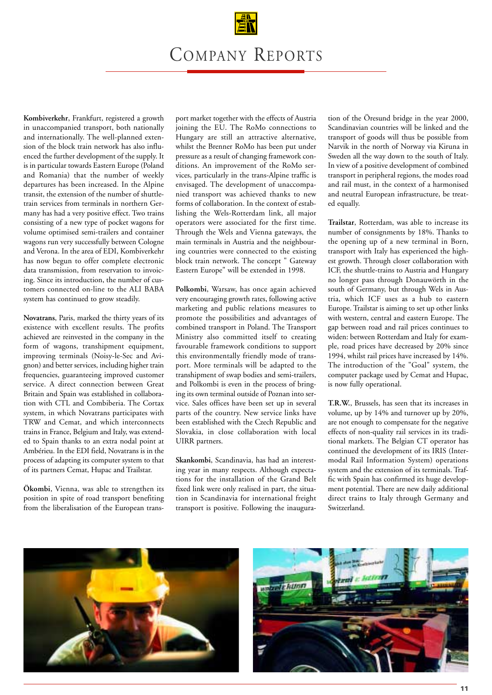## COMPANY REPORTS

**Kombiverkehr**, Frankfurt, registered a growth in unaccompanied transport, both nationally and internationally. The well-planned extension of the block train network has also influenced the further development of the supply. It is in particular towards Eastern Europe (Poland and Romania) that the number of weekly departures has been increased. In the Alpine transit, the extension of the number of shuttletrain services from terminals in northern Germany has had a very positive effect. Two trains consisting of a new type of pocket wagons for volume optimised semi-trailers and container wagons run very successfully between Cologne and Verona. In the area of EDI, Kombiverkehr has now begun to offer complete electronic data transmission, from reservation to invoicing. Since its introduction, the number of customers connected on-line to the ALI BABA system has continued to grow steadily.

**Novatrans**, Paris, marked the thirty years of its existence with excellent results. The profits achieved are reinvested in the company in the form of wagons, transhipment equipment, improving terminals (Noisy-le-Sec and Avignon) and better services, including higher train frequencies, guaranteeing improved customer service. A direct connection between Great Britain and Spain was established in collaboration with CTL and Combiberia. The Cortax system, in which Novatrans participates with TRW and Cemat, and which interconnects trains in France, Belgium and Italy, was extended to Spain thanks to an extra nodal point at Ambérieu. In the EDI field, Novatrans is in the process of adapting its computer system to that of its partners Cemat, Hupac and Trailstar.

**Ökombi**, Vienna, was able to strengthen its position in spite of road transport benefiting from the liberalisation of the European transport market together with the effects of Austria joining the EU. The RoMo connections to Hungary are still an attractive alternative, whilst the Brenner RoMo has been put under pressure as a result of changing framework conditions. An improvement of the RoMo services, particularly in the trans-Alpine traffic is envisaged. The development of unaccompanied transport was achieved thanks to new forms of collaboration. In the context of establishing the Wels-Rotterdam link, all major operators were associated for the first time. Through the Wels and Vienna gateways, the main terminals in Austria and the neighbouring countries were connected to the existing block train network. The concept " Gateway Eastern Europe" will be extended in 1998.

**Polkombi**, Warsaw, has once again achieved very encouraging growth rates, following active marketing and public relations measures to promote the possibilities and advantages of combined transport in Poland. The Transport Ministry also committed itself to creating favourable framework conditions to support this environmentally friendly mode of transport. More terminals will be adapted to the transhipment of swap bodies and semi-trailers, and Polkombi is even in the process of bringing its own terminal outside of Poznan into service. Sales offices have been set up in several parts of the country. New service links have been established with the Czech Republic and Slovakia, in close collaboration with local UIRR partners.

**Skankombi**, Scandinavia, has had an interesting year in many respects. Although expectations for the installation of the Grand Belt fixed link were only realised in part, the situation in Scandinavia for international freight transport is positive. Following the inauguration of the Öresund bridge in the year 2000, Scandinavian countries will be linked and the transport of goods will thus be possible from Narvik in the north of Norway via Kiruna in Sweden all the way down to the south of Italy. In view of a positive development of combined transport in peripheral regions, the modes road and rail must, in the context of a harmonised and neutral European infrastructure, be treated equally.

**Trailstar**, Rotterdam, was able to increase its number of consignments by 18%. Thanks to the opening up of a new terminal in Born, transport with Italy has experienced the highest growth. Through closer collaboration with ICF, the shuttle-trains to Austria and Hungary no longer pass through Donauwörth in the south of Germany, but through Wels in Austria, which ICF uses as a hub to eastern Europe. Trailstar is aiming to set up other links with western, central and eastern Europe. The gap between road and rail prices continues to widen: between Rotterdam and Italy for example, road prices have decreased by 20% since 1994, whilst rail prices have increased by 14%. The introduction of the "Goal" system, the computer package used by Cemat and Hupac, is now fully operational.

**T.R.W.**, Brussels, has seen that its increases in volume, up by 14% and turnover up by 20%, are not enough to compensate for the negative effects of non-quality rail services in its traditional markets. The Belgian CT operator has continued the development of its IRIS (Intermodal Rail Information System) operations system and the extension of its terminals. Traffic with Spain has confirmed its huge development potential. There are new daily additional direct trains to Italy through Germany and Switzerland.